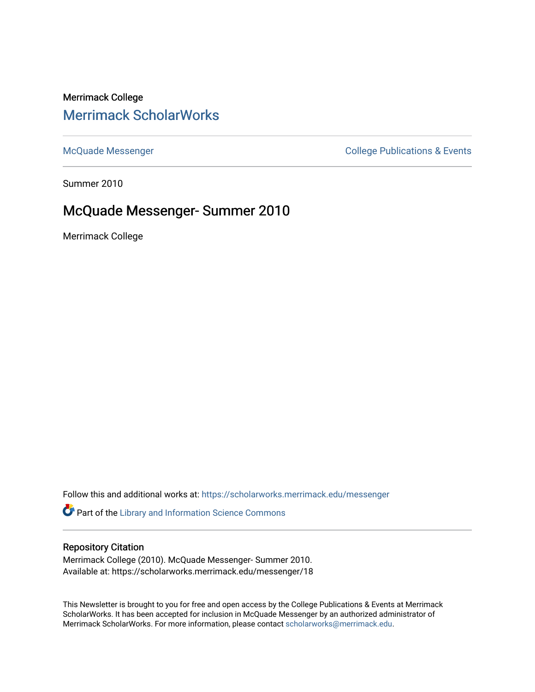# Merrimack College [Merrimack ScholarWorks](https://scholarworks.merrimack.edu/)

[McQuade Messenger](https://scholarworks.merrimack.edu/messenger) College Publications & Events

Summer 2010

# McQuade Messenger- Summer 2010

Merrimack College

Follow this and additional works at: [https://scholarworks.merrimack.edu/messenger](https://scholarworks.merrimack.edu/messenger?utm_source=scholarworks.merrimack.edu%2Fmessenger%2F18&utm_medium=PDF&utm_campaign=PDFCoverPages) 

Part of the [Library and Information Science Commons](http://network.bepress.com/hgg/discipline/1018?utm_source=scholarworks.merrimack.edu%2Fmessenger%2F18&utm_medium=PDF&utm_campaign=PDFCoverPages) 

# Repository Citation

Merrimack College (2010). McQuade Messenger- Summer 2010. Available at: https://scholarworks.merrimack.edu/messenger/18

This Newsletter is brought to you for free and open access by the College Publications & Events at Merrimack ScholarWorks. It has been accepted for inclusion in McQuade Messenger by an authorized administrator of Merrimack ScholarWorks. For more information, please contact [scholarworks@merrimack.edu](mailto:scholarworks@merrimack.edu).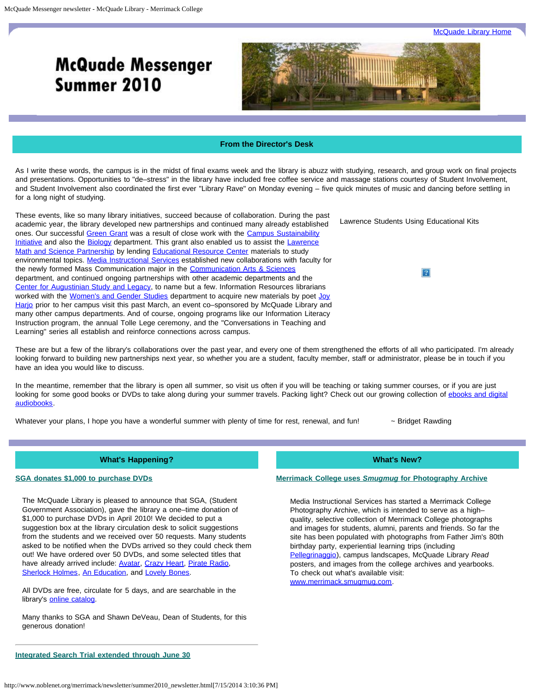**[McQuade Library Home](http://www.noblenet.org/merrimack/)** 

# **McQuade Messenger** Summer 2010



## **From the Director's Desk**

<span id="page-1-0"></span>As I write these words, the campus is in the midst of final exams week and the library is abuzz with studying, research, and group work on final projects and presentations. Opportunities to "de–stress" in the library have included free coffee service and massage stations courtesy of Student Involvement, and Student Involvement also coordinated the first ever "Library Rave" on Monday evening – five quick minutes of music and dancing before settling in for a long night of studying.

Lawrence Students Using Educational Kits These events, like so many library initiatives, succeed because of collaboration. During the past academic year, the library developed new partnerships and continued many already established ones. Our successful [Green Grant](http://server1.noblenet.org/merrimack/green/) was a result of close work with the [Campus Sustainability](http://www.merrimack.edu/academics/science_engineering/Biology/SustainabilityHome/Pages/default.aspx) [Initiative](http://www.merrimack.edu/academics/science_engineering/Biology/SustainabilityHome/Pages/default.aspx) and also the **Biology** department. This grant also enabled us to assist the **[Lawrence](http://www.merrimack.edu/ACADEMICS/ENGAGEDLEARNING/SERVICELEARNING/Pages/LawrenceMathAndSciencePartnership.aspx)** [Math and Science Partnership](http://www.merrimack.edu/ACADEMICS/ENGAGEDLEARNING/SERVICELEARNING/Pages/LawrenceMathAndSciencePartnership.aspx) by lending [Educational Resource Center](http://server1.noblenet.org/merrimack/blog2/) materials to study environmental topics. [Media Instructional Services](http://www.noblenet.org/merrimack/merrimackmediaservices/merrimackmediahome.html) established new collaborations with faculty for the newly formed Mass Communication major in the **Communication Arts & Sciences** department, and continued ongoing partnerships with other academic departments and the [Center for Augustinian Study and Legacy,](http://www.merrimack.edu/academics/CenterAugustinianStudyLegacy/Pages/default.aspx) to name but a few. Information Resources librarians worked with the [Women's and Gender Studies](http://www.merrimack.edu/academics/liberal_arts/WomensGenderStudies/Pages/default.aspx) department to acquire new materials by poet [Joy](http://www.joyharjo.com/Home.html) [Harjo](http://www.joyharjo.com/Home.html) prior to her campus visit this past March, an event co–sponsored by McQuade Library and many other campus departments. And of course, ongoing programs like our Information Literacy Instruction program, the annual Tolle Lege ceremony, and the "Conversations in Teaching and Learning" series all establish and reinforce connections across campus.

These are but a few of the library's collaborations over the past year, and every one of them strengthened the efforts of all who participated. I'm already looking forward to building new partnerships next year, so whether you are a student, faculty member, staff or administrator, please be in touch if you have an idea you would like to discuss.

In the meantime, remember that the library is open all summer, so visit us often if you will be teaching or taking summer courses, or if you are just looking for some good books or DVDs to take along during your summer travels. Packing light? Check out our growing collection of [ebooks and digital](http://overdrive.noblenet.org/) [audiobooks.](http://overdrive.noblenet.org/)

Whatever your plans, I hope you have a wonderful summer with plenty of time for rest, renewal, and fun!  $\sim$  Bridget Rawding

 $|2|$ 

#### **What's Happening?**

#### **SGA donates \$1,000 to purchase DVDs**

The McQuade Library is pleased to announce that SGA, (Student Government Association), gave the library a one–time donation of \$1,000 to purchase DVDs in April 2010! We decided to put a suggestion box at the library circulation desk to solicit suggestions from the students and we received over 50 requests. Many students asked to be notified when the DVDs arrived so they could check them out! We have ordered over 50 DVDs, and some selected titles that have already arrived include: **[Avatar](http://innopac.noblenet.org/record=b2911656), [Crazy Heart,](http://innopac.noblenet.org/record=b2911063) Pirate Radio**, [Sherlock Holmes](http://innopac.noblenet.org/record=b2880468), [An Education,](http://innopac.noblenet.org/record=b2880323) and [Lovely Bones.](http://innopac.noblenet.org/record=b2882219)

All DVDs are free, circulate for 5 days, and are searchable in the library's [online catalog.](http://catalog.noblenet.org/search~S40/)

Many thanks to SGA and Shawn DeVeau, Dean of Students, for this generous donation!

**What's New?**

#### **Merrimack College uses** *Smugmug* **for Photography Archive**

Media Instructional Services has started a Merrimack College Photography Archive, which is intended to serve as a high– quality, selective collection of Merrimack College photographs and images for students, alumni, parents and friends. So far the site has been populated with photographs from Father Jim's 80th birthday party, experiential learning trips (including [Pellegrinaggio](http://www.merrimack.edu/academics/CenterAugustinianStudyLegacy/Pellegrinaggio/Pages/default.aspx)), campus landscapes, McQuade Library *Read* posters, and images from the college archives and yearbooks. To check out what's available visit: [www.merrimack.smugmug.com.](http://www.merrimack.smugmug.com/)

**Integrated Search Trial extended through June 30**

http://www.noblenet.org/merrimack/newsletter/summer2010\_newsletter.html[7/15/2014 3:10:36 PM]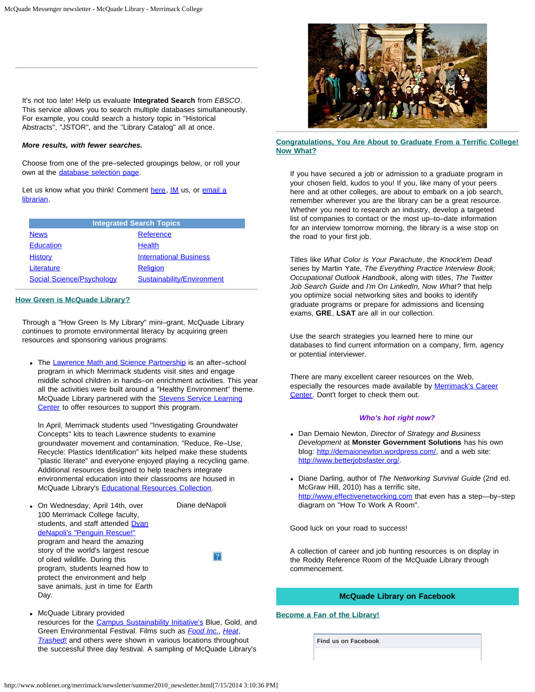It's not too late! Help us evaluate **Integrated Search** from *EBSCO*. This service allows you to search multiple databases simultaneously. For example, you could search a history topic in "Historical Abstracts", "JSTOR", and the "Library Catalog" all at once.

#### *More results, with fewer searches.*

Choose from one of the pre–selected groupings below, or roll your own at the [database selection page.](http://proxy3.noblenet.org/login?url=http://search.ebscohost.com/login.aspx?authtype=ip,uid&profile=ehis)

Let us know what you think! Comment [here,](mailto:kathryn.geoffrionscannell@merrimack.edu) [IM](http://www.noblenet.org/merrimack/contact.htm) us, or [email a](mailto:merref@noblenet.org) [librarian](mailto:merref@noblenet.org).

| <b>Integrated Search Topics</b>  |                               |  |
|----------------------------------|-------------------------------|--|
| <b>News</b>                      | Reference                     |  |
| <b>Education</b>                 | <b>Health</b>                 |  |
| <b>History</b>                   | <b>International Business</b> |  |
| Literature                       | <b>Religion</b>               |  |
| <b>Social Science/Psychology</b> | Sustainability/Environment    |  |

#### **How Green is McQuade Library?**

Through a "How Green Is My Library" mini–grant, McQuade Library continues to promote environmental literacy by acquiring green resources and sponsoring various programs:

• The [Lawrence Math and Science Partnership](http://www.merrimack.edu/ACADEMICS/ENGAGEDLEARNING/SERVICELEARNING/Pages/LawrenceMathAndSciencePartnership.aspx) is an after-school program in which Merrimack students visit sites and engage middle school children in hands–on enrichment activities. This year all the activities were built around a "Healthy Environment" theme. McQuade Library partnered with the [Stevens Service Learning](http://www.merrimack.edu/academics/EngagedLearning/ServiceLearning/Stevens/Pages/default.aspx) [Center](http://www.merrimack.edu/academics/EngagedLearning/ServiceLearning/Stevens/Pages/default.aspx) to offer resources to support this program.

In April, Merrimack students used "Investigating Groundwater Concepts" kits to teach Lawrence students to examine groundwater movement and contamination. "Reduce, Re–Use, Recycle: Plastics Identification" kits helped make these students "plastic literate" and everyone enjoyed playing a recycling game. Additional resources designed to help teachers integrate environmental education into their classrooms are housed in McQuade Library's [Educational Resources Collection](http://server1.noblenet.org/merrimack/blog2/).

On Wednesday, April 14th, over 100 Merrimack College faculty, students, and staff attended [Dyan](http://www.noblenet.org/merrimack/green/2010/03/the-penguin-lady/) [deNapoli's "Penguin Rescue!"](http://www.noblenet.org/merrimack/green/2010/03/the-penguin-lady/) program and heard the amazing story of the world's largest rescue of oiled wildlife. During this program, students learned how to protect the environment and help save animals, just in time for Earth Day.

Diane deNapoli

McQuade Library provided resources for the [Campus Sustainability Initiative's](http://www.merrimack.edu/academics/science_engineering/Biology/SustainabilityHome/Pages/default.aspx) Blue, Gold, and Green Environmental Festival. Films such as *[Food Inc.](http://innopac.noblenet.org/record=b2753478)*, *[Heat](http://innopac.noblenet.org/record=b2686211)*, *[Trashed!](http://innopac.noblenet.org/record=b2758224)* and others were shown in various locations throughout the successful three day festival. A sampling of McQuade Library's



#### **Congratulations, You Are About to Graduate From a Terrific College! Now What?**

If you have secured a job or admission to a graduate program in your chosen field, kudos to you! If you, like many of your peers here and at other colleges, are about to embark on a job search, remember wherever you are the library can be a great resource. Whether you need to research an industry, develop a targeted list of companies to contact or the most up–to–date information for an interview tomorrow morning, the library is a wise stop on the road to your first job.

Titles like *What Color is Your Parachute*, the *Knock'em Dead* series by Martin Yate, *The Everything Practice Interview Book; Occupational Outlook Handbook*, along with titles, *The Twitter Job Search Guide* and *I'm On LinkedIn, Now What?* that help you optimize social networking sites and books to identify graduate programs or prepare for admissions and licensing exams, **GRE**, **LSAT** are all in our collection.

Use the search strategies you learned here to mine our databases to find current information on a company, firm, agency or potential interviewer.

There are many excellent career resources on the Web, especially the resources made available by [Merrimack's Career](http://warrior.merrimack.edu/career_center/Pages/default.aspx) [Center.](http://warrior.merrimack.edu/career_center/Pages/default.aspx) Dont't forget to check them out.

#### *Who's hot right now?*

- Dan Demaio Newton, *Director of Strategy and Business Development* at **Monster Government Solutions** has his own blog: <http://demaionewton.wordpress.com/>, and a web site: <http://www.betterjobsfaster.org/>.
- Diane Darling, author of *The Networking Survival Guide* (2nd ed. McGraw Hill, 2010) has a terrific site, [http://www.effectivenetworking.com](http://www.effectivenetworking.com/) that even has a step—by–step diagram on "How To Work A Room".

Good luck on your road to success!

A collection of career and job hunting resources is on display in the Roddy Reference Room of the McQuade Library through commencement.

## **McQuade Library on Facebook**

#### **Become a Fan of the Library!**

**Find us on Facebook**